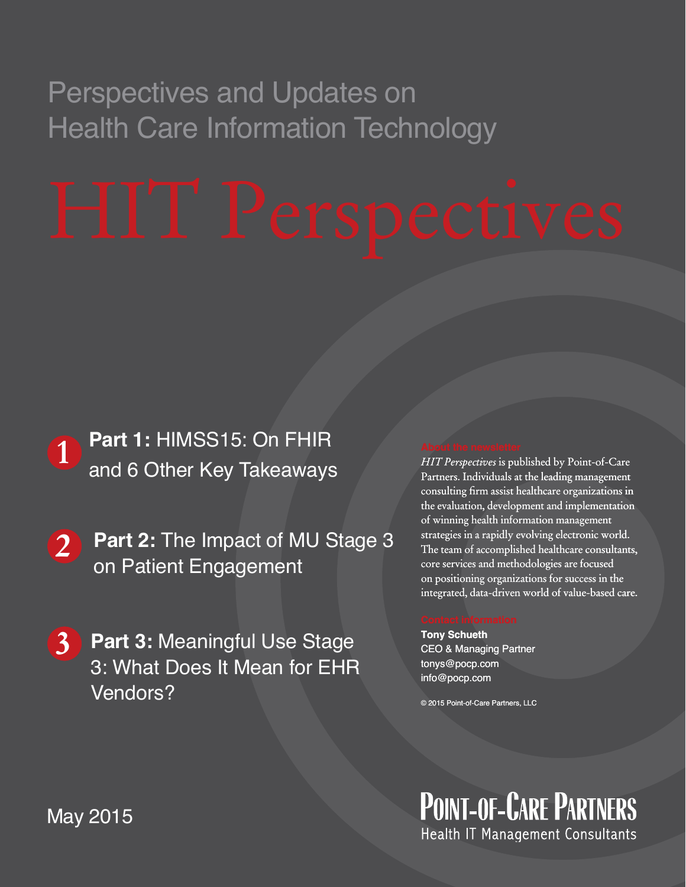# Perspectives and Updates on Health Care Information Technology



**2 Part 2:** The Impact of MU Stage 3 on Patient Engagement

**3 Part 3:** Meaningful Use Stage 3: What Does It Mean for EHR

Vendors?<br>
Vendors?<br>
May 2015<br>
May 2015 3: What Does It Mean for EHR Vendors?

### *HIT Perspectives* is published by Point-of-Care *Perspectives* Partners. Individuals at the leading management consulting firm assist healthcare organizations in the evaluation, development and implementation of winning health information management strategies in a rapidly evolving electronic world. strategies in a rapidly evolving electronic world.<br>The team of accomplished healthcare consultants, core services and methodologies are focused services methodologies are focused on positioning organizations for success in the on positioning organizations for success in the<br>integrated, data-driven world of value-based care. consulting firm assist healthcare organizatio:<br>the evaluation, development and implement:<br>of winning health information management

**Tony Schueth** CEO & Managing Partner tonys@pocp.com info@pocp.com

© 2015 Point-of-Care Partners, LLC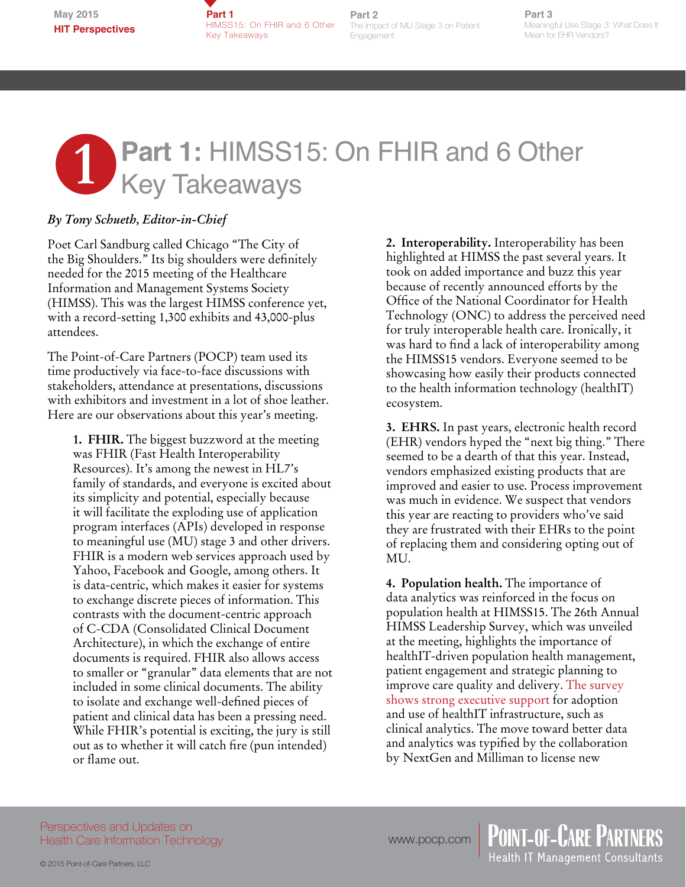**Part 1**  HIMSS15: On FHIR and 6 Other Key Takeaways

**Part 2** The Impact of MU Stage 3 on Patient Engagement

**Part 3** Meaningful Use Stage 3: What Does It Mean for EHR Vendors?

# **1** Part 1: HIMSS15: On FHIR and 6 Other<br>Key Takeaways Key Takeaways **Shine Shine Shine Shine Shine Shine Shine Shine Shine Shine Shine Shine Shine Shine Shine Shine Shine Shine Shine Shine Shine Shine Shine Shine Shine Shine Shine Shine Shine Shine Shine Shine Shine Shine Shi**

### *By Tony Schueth, Editor-in-Chief*

Poet Carl Sandburg called Chicago "The City of the Big Shoulders." Its big shoulders were definitely needed for the 2015 meeting of the Healthcare Information and Management Systems Society (HIMSS). This was the largest HIMSS conference yet, with a record-setting 1,300 exhibits and 43,000-plus attendees.

The Point-of-Care Partners (POCP) team used its time productively via face-to-face discussions with stakeholders, attendance at presentations, discussions with exhibitors and investment in a lot of shoe leather. Here are our observations about this year's meeting.

**1. FHIR.** The biggest buzzword at the meeting was FHIR (Fast Health Interoperability Resources). It's among the newest in HL7's family of standards, and everyone is excited about its simplicity and potential, especially because it will facilitate the exploding use of application program interfaces (APIs) developed in response to meaningful use (MU) stage 3 and other drivers. FHIR is a modern web services approach used by Yahoo, Facebook and Google, among others. It is data-centric, which makes it easier for systems to exchange discrete pieces of information. This contrasts with the document-centric approach of C-CDA (Consolidated Clinical Document Architecture), in which the exchange of entire documents is required. FHIR also allows access to smaller or "granular" data elements that are not included in some clinical documents. The ability to isolate and exchange well-defined pieces of patient and clinical data has been a pressing need. While FHIR's potential is exciting, the jury is still out as to whether it will catch fire (pun intended) or flame out.

**2. Interoperability.** Interoperability has been highlighted at HIMSS the past several years. It took on added importance and buzz this year because of recently announced efforts by the Office of the National Coordinator for Health Technology (ONC) to address the perceived need for truly interoperable health care. Ironically, it was hard to find a lack of interoperability among the HIMSS15 vendors. Everyone seemed to be showcasing how easily their products connected to the health information technology (healthIT) ecosystem.

**3. EHRS.** In past years, electronic health record (EHR) vendors hyped the "next big thing." There seemed to be a dearth of that this year. Instead, vendors emphasized existing products that are improved and easier to use. Process improvement was much in evidence. We suspect that vendors this year are reacting to providers who've said they are frustrated with their EHRs to the point of replacing them and considering opting out of MU.

**4. Population health.** The importance of data analytics was reinforced in the focus on population health at HIMSS15. The 26th Annual HIMSS Leadership Survey, which was unveiled at the meeting, highlights the importance of healthIT-driven population health management, patient engagement and strategic planning to improve care quality and delivery. [The survey](http://www.himssconference.org/updates/update.aspx?ItemNumber=41595)  [shows strong executive support](http://www.himssconference.org/updates/update.aspx?ItemNumber=41595) for adoption and use of healthIT infrastructure, such as clinical analytics. The move toward better data and analytics was typified by the collaboration by NextGen and Milliman to license new

Perspectives and Updates on Health Care Information Technology

© 2015 Point-of-Care Partners, LLC

www.pocp.com | POINT-OF-CARE PARTNERS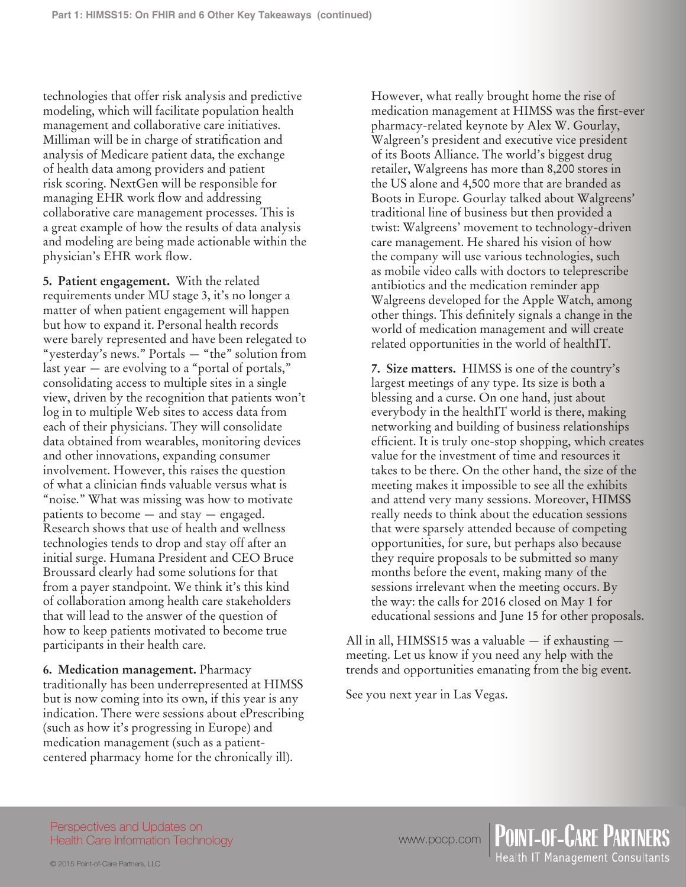technologies that offer risk analysis and predictive modeling, which will facilitate population health management and collaborative care initiatives. Milliman will be in charge of stratification and analysis of Medicare patient data, the exchange of health data among providers and patient risk scoring. NextGen will be responsible for managing EHR work flow and addressing collaborative care management processes. This is a great example of how the results of data analysis and modeling are being made actionable within the physician's EHR work flow.

**5. Patient engagement.** With the related requirements under MU stage 3, it's no longer a matter of when patient engagement will happen but how to expand it. Personal health records were barely represented and have been relegated to "yesterday's news." Portals — "the" solution from last year — are evolving to a "portal of portals," consolidating access to multiple sites in a single view, driven by the recognition that patients won't log in to multiple Web sites to access data from each of their physicians. They will consolidate data obtained from wearables, monitoring devices and other innovations, expanding consumer involvement. However, this raises the question of what a clinician finds valuable versus what is "noise." What was missing was how to motivate patients to become — and stay — engaged. Research shows that use of health and wellness technologies tends to drop and stay off after an initial surge. Humana President and CEO Bruce Broussard clearly had some solutions for that from a payer standpoint. We think it's this kind of collaboration among health care stakeholders that will lead to the answer of the question of how to keep patients motivated to become true participants in their health care.

**6. Medication management.** Pharmacy traditionally has been underrepresented at HIMSS but is now coming into its own, if this year is any indication. There were sessions about ePrescribing (such as how it's progressing in Europe) and medication management (such as a patientcentered pharmacy home for the chronically ill).

However, what really brought home the rise of medication management at HIMSS was the first-ever pharmacy-related keynote by Alex W. Gourlay, Walgreen's president and executive vice president of its Boots Alliance. The world's biggest drug retailer, Walgreens has more than 8,200 stores in the US alone and 4,500 more that are branded as Boots in Europe. Gourlay talked about Walgreens' traditional line of business but then provided a twist: Walgreens' movement to technology-driven care management. He shared his vision of how the company will use various technologies, such as mobile video calls with doctors to teleprescribe antibiotics and the medication reminder app Walgreens developed for the Apple Watch, among other things. This definitely signals a change in the world of medication management and will create related opportunities in the world of healthIT.

**7. Size matters.** HIMSS is one of the country's largest meetings of any type. Its size is both a blessing and a curse. On one hand, just about everybody in the healthIT world is there, making networking and building of business relationships efficient. It is truly one-stop shopping, which creates value for the investment of time and resources it takes to be there. On the other hand, the size of the meeting makes it impossible to see all the exhibits and attend very many sessions. Moreover, HIMSS really needs to think about the education sessions that were sparsely attended because of competing opportunities, for sure, but perhaps also because they require proposals to be submitted so many months before the event, making many of the sessions irrelevant when the meeting occurs. By the way: the calls for 2016 closed on May 1 for educational sessions and June 15 for other proposals.

All in all, HIMSS15 was a valuable — if exhausting meeting. Let us know if you need any help with the trends and opportunities emanating from the big event.

lealth IT Management Consultants

See you next year in Las Vegas.

Perspectives and Updates on Health Care Information Technology

www.pocp.com | POINT-OF-CARE PARTNERS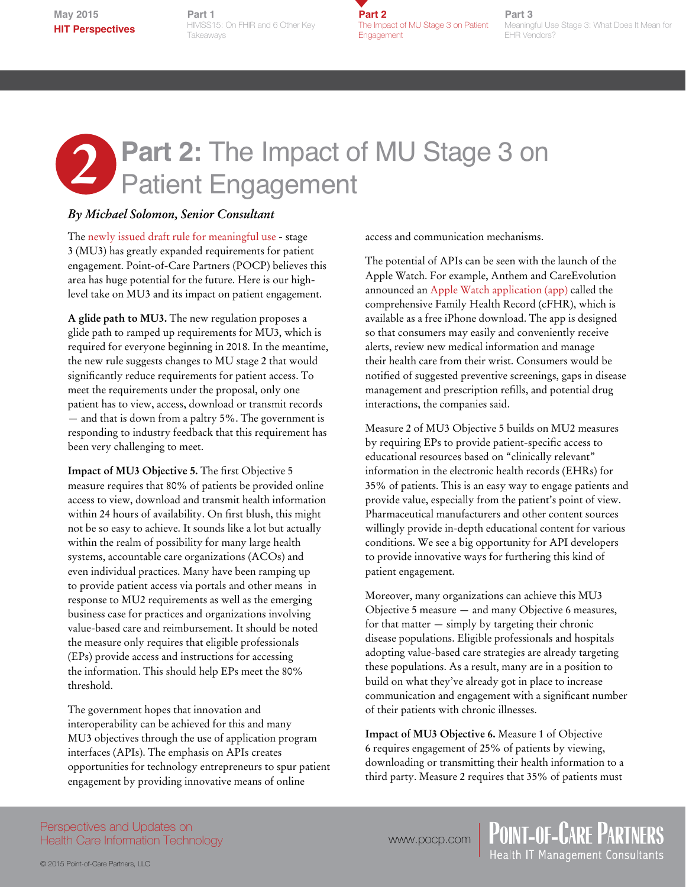**May 2015 HIT Perspectives**

**Part 1** HIMSS15: On FHIR and 6 Other Key **Takeaways** 

**Part 2** The Impact of MU Stage 3 on Patient Engagement

**Part 3** Meaningful Use Stage 3: What Does It Mean for EHR Vendors?

# **2** Part 2: The Impact of MU Stage 3 on<br>
Patient Engagement Patient Engagement

### *By Michael Solomon, Senior Consultant*

The [newly issued draft rule for meaningful use](https://s3.amazonaws.com/public-inspection.federalregister.gov/2015-06685.pdf) - stage 3 (MU3) has greatly expanded requirements for patient engagement. Point-of-Care Partners (POCP) believes this area has huge potential for the future. Here is our highlevel take on MU3 and its impact on patient engagement.

**A glide path to MU3.** The new regulation proposes a glide path to ramped up requirements for MU3, which is required for everyone beginning in 2018. In the meantime, the new rule suggests changes to MU stage 2 that would significantly reduce requirements for patient access. To meet the requirements under the proposal, only one patient has to view, access, download or transmit records — and that is down from a paltry 5%. The government is responding to industry feedback that this requirement has been very challenging to meet.

**Impact of MU3 Objective 5.** The first Objective 5 measure requires that 80% of patients be provided online access to view, download and transmit health information within 24 hours of availability. On first blush, this might not be so easy to achieve. It sounds like a lot but actually within the realm of possibility for many large health systems, accountable care organizations (ACOs) and even individual practices. Many have been ramping up to provide patient access via portals and other means in response to MU2 requirements as well as the emerging business case for practices and organizations involving value-based care and reimbursement. It should be noted the measure only requires that eligible professionals (EPs) provide access and instructions for accessing the information. This should help EPs meet the 80% threshold.

The government hopes that innovation and interoperability can be achieved for this and many MU3 objectives through the use of application program interfaces (APIs). The emphasis on APIs creates opportunities for technology entrepreneurs to spur patient engagement by providing innovative means of online

access and communication mechanisms.

The potential of APIs can be seen with the launch of the Apple Watch. For example, Anthem and CareEvolution announced an [Apple Watch application \(app\)](http://www.businesswire.com/news/home/20150413005259/en/Anthem-CareEvolution-Collaborate-Apple-Watch-App-Engage#.VUeZSyn-98w) called the comprehensive Family Health Record (cFHR), which is available as a free iPhone download. The app is designed so that consumers may easily and conveniently receive alerts, review new medical information and manage their health care from their wrist. Consumers would be notified of suggested preventive screenings, gaps in disease management and prescription refills, and potential drug interactions, the companies said.

Measure 2 of MU3 Objective 5 builds on MU2 measures by requiring EPs to provide patient-specific access to educational resources based on "clinically relevant" information in the electronic health records (EHRs) for 35% of patients. This is an easy way to engage patients and provide value, especially from the patient's point of view. Pharmaceutical manufacturers and other content sources willingly provide in-depth educational content for various conditions. We see a big opportunity for API developers to provide innovative ways for furthering this kind of patient engagement.

Moreover, many organizations can achieve this MU3 Objective 5 measure — and many Objective 6 measures, for that matter — simply by targeting their chronic disease populations. Eligible professionals and hospitals adopting value-based care strategies are already targeting these populations. As a result, many are in a position to build on what they've already got in place to increase communication and engagement with a significant number of their patients with chronic illnesses.

**Impact of MU3 Objective 6.** Measure 1 of Objective 6 requires engagement of 25% of patients by viewing, downloading or transmitting their health information to a third party. Measure 2 requires that 35% of patients must

Perspectives and Updates on Health Care Information Technology

www.pocp.com | POINT-OF-CARE PARTNERS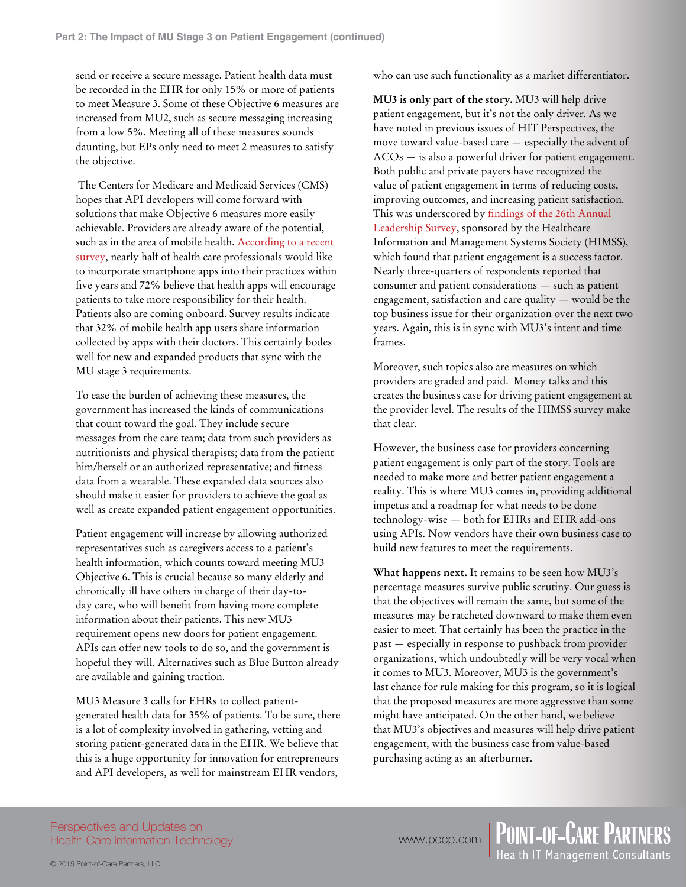send or receive a secure message. Patient health data must be recorded in the EHR for only 15% or more of patients to meet Measure 3. Some of these Objective 6 measures are increased from MU2, such as secure messaging increasing from a low 5%. Meeting all of these measures sounds daunting, but EPs only need to meet 2 measures to satisfy the objective.

 The Centers for Medicare and Medicaid Services (CMS) hopes that API developers will come forward with solutions that make Objective 6 measures more easily achievable. Providers are already aware of the potential, such as in the area of mobile health. [According to a recent](http://www.marketwired.com/press-release/are-mobile-medical-apps-good-our-health-a-new-study-research-now-reveals-that-doctors-2001197.htm)  [survey](http://www.marketwired.com/press-release/are-mobile-medical-apps-good-our-health-a-new-study-research-now-reveals-that-doctors-2001197.htm), nearly half of health care professionals would like to incorporate smartphone apps into their practices within five years and 72% believe that health apps will encourage patients to take more responsibility for their health. Patients also are coming onboard. Survey results indicate that 32% of mobile health app users share information collected by apps with their doctors. This certainly bodes well for new and expanded products that sync with the MU stage 3 requirements.

To ease the burden of achieving these measures, the government has increased the kinds of communications that count toward the goal. They include secure messages from the care team; data from such providers as nutritionists and physical therapists; data from the patient him/herself or an authorized representative; and fitness data from a wearable. These expanded data sources also should make it easier for providers to achieve the goal as well as create expanded patient engagement opportunities.

Patient engagement will increase by allowing authorized representatives such as caregivers access to a patient's health information, which counts toward meeting MU3 Objective 6. This is crucial because so many elderly and chronically ill have others in charge of their day-today care, who will benefit from having more complete information about their patients. This new MU3 requirement opens new doors for patient engagement. APIs can offer new tools to do so, and the government is hopeful they will. Alternatives such as Blue Button already are available and gaining traction.

MU3 Measure 3 calls for EHRs to collect patientgenerated health data for 35% of patients. To be sure, there is a lot of complexity involved in gathering, vetting and storing patient-generated data in the EHR. We believe that this is a huge opportunity for innovation for entrepreneurs and API developers, as well for mainstream EHR vendors,

who can use such functionality as a market differentiator.

**MU3 is only part of the story.** MU3 will help drive patient engagement, but it's not the only driver. As we have noted in previous issues of HIT Perspectives, the move toward value-based care — especially the advent of ACOs — is also a powerful driver for patient engagement. Both public and private payers have recognized the value of patient engagement in terms of reducing costs, improving outcomes, and increasing patient satisfaction. This was underscored by [findings of the 26th Annual](http://www.himss.org/2015-leadership-survey)  [Leadership Survey,](http://www.himss.org/2015-leadership-survey) sponsored by the Healthcare Information and Management Systems Society (HIMSS), which found that patient engagement is a success factor. Nearly three-quarters of respondents reported that consumer and patient considerations — such as patient engagement, satisfaction and care quality — would be the top business issue for their organization over the next two years. Again, this is in sync with MU3's intent and time frames.

Moreover, such topics also are measures on which providers are graded and paid. Money talks and this creates the business case for driving patient engagement at the provider level. The results of the HIMSS survey make that clear.

However, the business case for providers concerning patient engagement is only part of the story. Tools are needed to make more and better patient engagement a reality. This is where MU3 comes in, providing additional impetus and a roadmap for what needs to be done technology-wise — both for EHRs and EHR add-ons using APIs. Now vendors have their own business case to build new features to meet the requirements.

**What happens next.** It remains to be seen how MU3's percentage measures survive public scrutiny. Our guess is that the objectives will remain the same, but some of the measures may be ratcheted downward to make them even easier to meet. That certainly has been the practice in the past — especially in response to pushback from provider organizations, which undoubtedly will be very vocal when it comes to MU3. Moreover, MU3 is the government's last chance for rule making for this program, so it is logical that the proposed measures are more aggressive than some might have anticipated. On the other hand, we believe that MU3's objectives and measures will help drive patient engagement, with the business case from value-based purchasing acting as an afterburner.

Perspectives and Updates on Health Care Information Technology www.pocp.com | POINT-OF-CARE PARTNERS<br>Health IT Management Consultants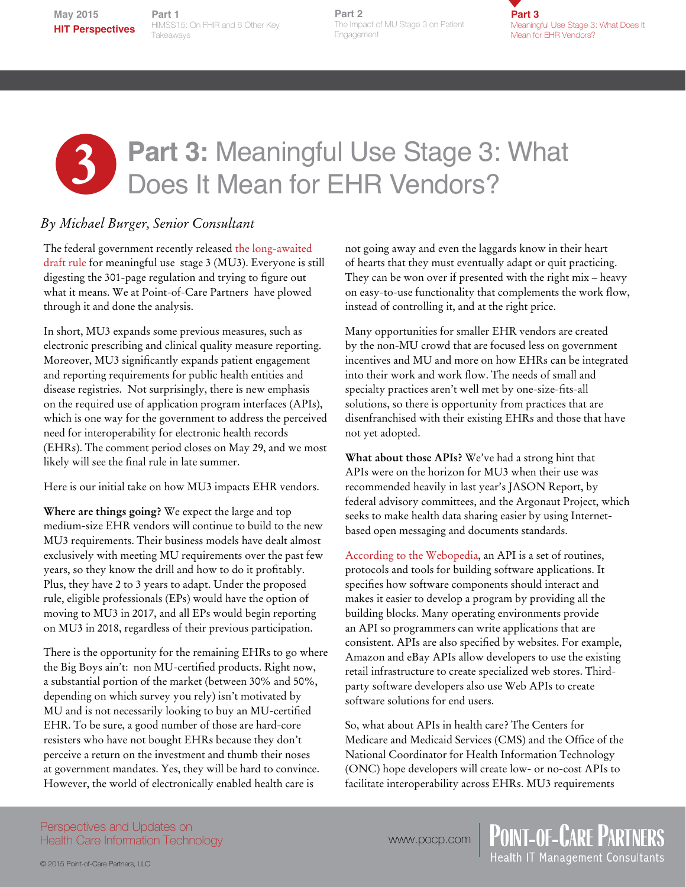**Part 1**<br>HIMSS15: On FHIR and 6 Other Key **Part 1 Takeaways** 

**Part 2**<br>The Impact of MU Stage 3 on Patient Engagement **Part 2**

**Part 3** Meaningful Use Stage 3: What Does It Mean for EHR Vendors?

# **Part 3: Meaningful Use Stage 3: What Does It Mean for EHR Vendors?** Does It Mean for EHR Vendors?

### *By Michael Burger, Senior Consultant*

The federal government recently released [the long-awaited](https://s3.amazonaws.com/public-inspection.federalregister.gov/2015-06685.pdf)  [draft rule f](https://s3.amazonaws.com/public-inspection.federalregister.gov/2015-06685.pdf)or meaningful use stage 3 (MU3). Everyone is still digesting the 301-page regulation and trying to figure out what it means. We at Point-of-Care Partners have plowed through it and done the analysis.

In short, MU3 expands some previous measures, such as electronic prescribing and clinical quality measure reporting. Moreover, MU3 significantly expands patient engagement and reporting requirements for public health entities and disease registries. Not surprisingly, there is new emphasis on the required use of application program interfaces (APIs), which is one way for the government to address the perceived need for interoperability for electronic health records (EHRs). The comment period closes on May 29, and we most likely will see the final rule in late summer.

Here is our initial take on how MU3 impacts EHR vendors.

**Where are things going?** We expect the large and top medium-size EHR vendors will continue to build to the new MU3 requirements. Their business models have dealt almost exclusively with meeting MU requirements over the past few years, so they know the drill and how to do it profitably. Plus, they have 2 to 3 years to adapt. Under the proposed rule, eligible professionals (EPs) would have the option of moving to MU3 in 2017, and all EPs would begin reporting on MU3 in 2018, regardless of their previous participation.

There is the opportunity for the remaining EHRs to go where the Big Boys ain't: non MU-certified products. Right now, a substantial portion of the market (between 30% and 50%, depending on which survey you rely) isn't motivated by MU and is not necessarily looking to buy an MU-certified EHR. To be sure, a good number of those are hard-core resisters who have not bought EHRs because they don't perceive a return on the investment and thumb their noses at government mandates. Yes, they will be hard to convince. However, the world of electronically enabled health care is

not going away and even the laggards know in their heart of hearts that they must eventually adapt or quit practicing. They can be won over if presented with the right mix – heavy on easy-to-use functionality that complements the work flow, instead of controlling it, and at the right price.

Many opportunities for smaller EHR vendors are created by the non-MU crowd that are focused less on government incentives and MU and more on how EHRs can be integrated into their work and work flow. The needs of small and specialty practices aren't well met by one-size-fits-all solutions, so there is opportunity from practices that are disenfranchised with their existing EHRs and those that have not yet adopted.

**What about those APIs?** We've had a strong hint that APIs were on the horizon for MU3 when their use was recommended heavily in last year's JASON Report, by federal advisory committees, and the Argonaut Project, which seeks to make health data sharing easier by using Internetbased open messaging and documents standards.

[According to the Webopedia,](http://www.webopedia.com/TERM/A/API.html) an API is a set of routines, protocols and tools for building software applications. It specifies how software components should interact and makes it easier to develop a program by providing all the building blocks. Many operating environments provide an API so programmers can write applications that are consistent. APIs are also specified by websites. For example, Amazon and eBay APIs allow developers to use the existing retail infrastructure to create specialized web stores. Thirdparty software developers also use Web APIs to create software solutions for end users.

So, what about APIs in health care? The Centers for Medicare and Medicaid Services (CMS) and the Office of the National Coordinator for Health Information Technology (ONC) hope developers will create low- or no-cost APIs to facilitate interoperability across EHRs. MU3 requirements

Perspectives and Updates on Health Care Information Technology

www.pocp.com | POINT-OF-CARE PARTNERS<br>Health IT Management Consultants